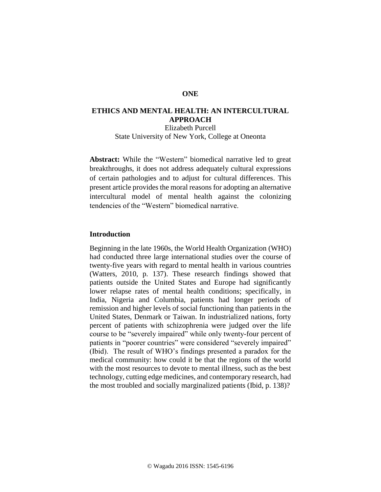## **ONE**

# **ETHICS AND MENTAL HEALTH: AN INTERCULTURAL APPROACH**

Elizabeth Purcell State University of New York, College at Oneonta

**Abstract:** While the "Western" biomedical narrative led to great breakthroughs, it does not address adequately cultural expressions of certain pathologies and to adjust for cultural differences. This present article provides the moral reasons for adopting an alternative intercultural model of mental health against the colonizing tendencies of the "Western" biomedical narrative.

#### **Introduction**

Beginning in the late 1960s, the World Health Organization (WHO) had conducted three large international studies over the course of twenty-five years with regard to mental health in various countries (Watters, 2010, p. 137). These research findings showed that patients outside the United States and Europe had significantly lower relapse rates of mental health conditions; specifically, in India, Nigeria and Columbia, patients had longer periods of remission and higher levels of social functioning than patients in the United States, Denmark or Taiwan. In industrialized nations, forty percent of patients with schizophrenia were judged over the life course to be "severely impaired" while only twenty-four percent of patients in "poorer countries" were considered "severely impaired" (Ibid). The result of WHO's findings presented a paradox for the medical community: how could it be that the regions of the world with the most resources to devote to mental illness, such as the best technology, cutting edge medicines, and contemporary research, had the most troubled and socially marginalized patients (Ibid, p. 138)?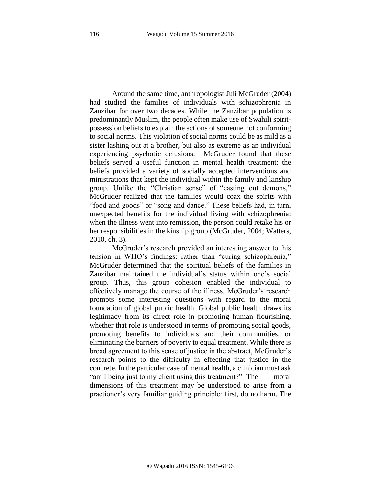Around the same time, anthropologist Juli McGruder (2004) had studied the families of individuals with schizophrenia in Zanzibar for over two decades. While the Zanzibar population is predominantly Muslim, the people often make use of Swahili spiritpossession beliefs to explain the actions of someone not conforming to social norms. This violation of social norms could be as mild as a sister lashing out at a brother, but also as extreme as an individual experiencing psychotic delusions. McGruder found that these beliefs served a useful function in mental health treatment: the beliefs provided a variety of socially accepted interventions and ministrations that kept the individual within the family and kinship group. Unlike the "Christian sense" of "casting out demons," McGruder realized that the families would coax the spirits with "food and goods" or "song and dance." These beliefs had, in turn, unexpected benefits for the individual living with schizophrenia: when the illness went into remission, the person could retake his or her responsibilities in the kinship group (McGruder, 2004; Watters, 2010, ch. 3).

McGruder's research provided an interesting answer to this tension in WHO's findings: rather than "curing schizophrenia," McGruder determined that the spiritual beliefs of the families in Zanzibar maintained the individual's status within one's social group. Thus, this group cohesion enabled the individual to effectively manage the course of the illness. McGruder's research prompts some interesting questions with regard to the moral foundation of global public health. Global public health draws its legitimacy from its direct role in promoting human flourishing, whether that role is understood in terms of promoting social goods, promoting benefits to individuals and their communities, or eliminating the barriers of poverty to equal treatment. While there is broad agreement to this sense of justice in the abstract, McGruder's research points to the difficulty in effecting that justice in the concrete. In the particular case of mental health, a clinician must ask "am I being just to my client using this treatment?" The moral dimensions of this treatment may be understood to arise from a practioner's very familiar guiding principle: first, do no harm. The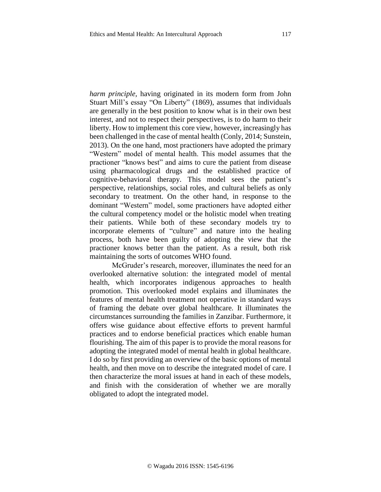*harm principle,* having originated in its modern form from John Stuart Mill's essay "On Liberty" (1869), assumes that individuals are generally in the best position to know what is in their own best interest, and not to respect their perspectives, is to do harm to their liberty. How to implement this core view, however, increasingly has been challenged in the case of mental health (Conly, 2014; Sunstein, 2013). On the one hand, most practioners have adopted the primary "Western" model of mental health. This model assumes that the practioner "knows best" and aims to cure the patient from disease using pharmacological drugs and the established practice of cognitive-behavioral therapy. This model sees the patient's perspective, relationships, social roles, and cultural beliefs as only secondary to treatment. On the other hand, in response to the dominant "Western" model, some practioners have adopted either the cultural competency model or the holistic model when treating their patients. While both of these secondary models try to incorporate elements of "culture" and nature into the healing process, both have been guilty of adopting the view that the practioner knows better than the patient. As a result, both risk maintaining the sorts of outcomes WHO found.

McGruder's research, moreover, illuminates the need for an overlooked alternative solution: the integrated model of mental health, which incorporates indigenous approaches to health promotion. This overlooked model explains and illuminates the features of mental health treatment not operative in standard ways of framing the debate over global healthcare. It illuminates the circumstances surrounding the families in Zanzibar. Furthermore, it offers wise guidance about effective efforts to prevent harmful practices and to endorse beneficial practices which enable human flourishing. The aim of this paper is to provide the moral reasons for adopting the integrated model of mental health in global healthcare. I do so by first providing an overview of the basic options of mental health, and then move on to describe the integrated model of care. I then characterize the moral issues at hand in each of these models, and finish with the consideration of whether we are morally obligated to adopt the integrated model.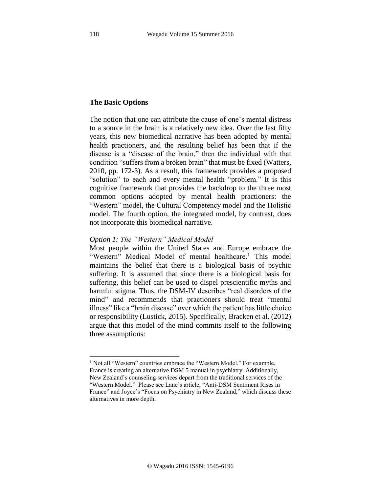## **The Basic Options**

The notion that one can attribute the cause of one's mental distress to a source in the brain is a relatively new idea. Over the last fifty years, this new biomedical narrative has been adopted by mental health practioners, and the resulting belief has been that if the disease is a "disease of the brain," then the individual with that condition "suffers from a broken brain" that must be fixed (Watters, 2010, pp. 172-3). As a result, this framework provides a proposed "solution" to each and every mental health "problem." It is this cognitive framework that provides the backdrop to the three most common options adopted by mental health practioners: the "Western" model, the Cultural Competency model and the Holistic model. The fourth option, the integrated model, by contrast, does not incorporate this biomedical narrative.

### *Option 1: The "Western" Medical Model*

Most people within the United States and Europe embrace the "Western" Medical Model of mental healthcare.<sup>1</sup> This model maintains the belief that there is a biological basis of psychic suffering. It is assumed that since there is a biological basis for suffering, this belief can be used to dispel prescientific myths and harmful stigma. Thus, the DSM-IV describes "real disorders of the mind" and recommends that practioners should treat "mental illness" like a "brain disease" over which the patient has little choice or responsibility (Lustick, 2015). Specifically, Bracken et al. (2012) argue that this model of the mind commits itself to the following three assumptions:

l

<sup>&</sup>lt;sup>1</sup> Not all "Western" countries embrace the "Western Model." For example, France is creating an alternative DSM 5 manual in psychiatry. Additionally, New Zealand's counseling services depart from the traditional services of the "Western Model." Please see Lane's article, "Anti-DSM Sentiment Rises in France" and Joyce's "Focus on Psychiatry in New Zealand," which discuss these alternatives in more depth.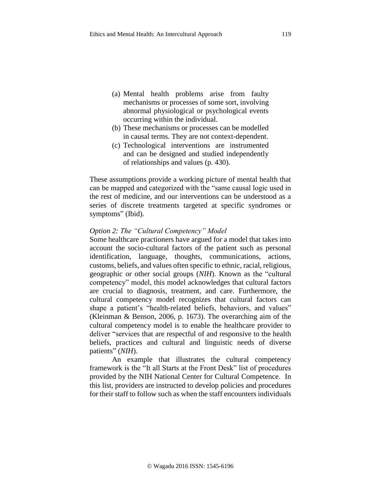- (a) Mental health problems arise from faulty mechanisms or processes of some sort, involving abnormal physiological or psychological events occurring within the individual.
- (b) These mechanisms or processes can be modelled in causal terms. They are not context-dependent.
- (c) Technological interventions are instrumented and can be designed and studied independently of relationships and values (p. 430).

These assumptions provide a working picture of mental health that can be mapped and categorized with the "same causal logic used in the rest of medicine, and our interventions can be understood as a series of discrete treatments targeted at specific syndromes or symptoms" (Ibid).

#### *Option 2: The "Cultural Competency" Model*

Some healthcare practioners have argued for a model that takes into account the socio-cultural factors of the patient such as personal identification, language, thoughts, communications, actions, customs, beliefs, and values often specific to ethnic, racial, religious, geographic or other social groups (*NIH*). Known as the "cultural competency" model, this model acknowledges that cultural factors are crucial to diagnosis, treatment, and care. Furthermore, the cultural competency model recognizes that cultural factors can shape a patient's "health-related beliefs, behaviors, and values" (Kleinman & Benson, 2006, p. 1673). The overarching aim of the cultural competency model is to enable the healthcare provider to deliver "services that are respectful of and responsive to the health beliefs, practices and cultural and linguistic needs of diverse patients" (*NIH*).

An example that illustrates the cultural competency framework is the "It all Starts at the Front Desk" list of procedures provided by the NIH National Center for Cultural Competence. In this list, providers are instructed to develop policies and procedures for their staff to follow such as when the staff encounters individuals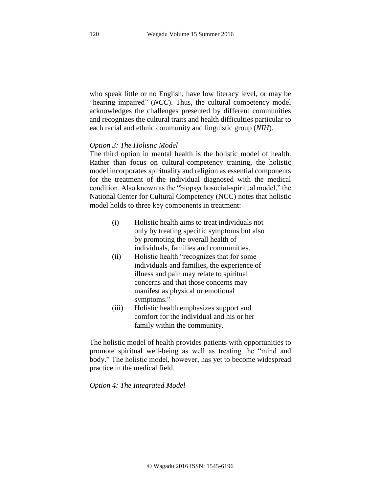who speak little or no English, have low literacy level, or may be "hearing impaired" (*NCC*). Thus, the cultural competency model acknowledges the challenges presented by different communities and recognizes the cultural traits and health difficulties particular to each racial and ethnic community and linguistic group (*NIH*).

### *Option 3: The Holistic Model*

The third option in mental health is the holistic model of health. Rather than focus on cultural-competency training, the holistic model incorporates spirituality and religion as essential components for the treatment of the individual diagnosed with the medical condition. Also known as the "biopsychosocial-spiritual model," the National Center for Cultural Competency (NCC) notes that holistic model holds to three key components in treatment:

- (i) Holistic health aims to treat individuals not only by treating specific symptoms but also by promoting the overall health of individuals, families and communities.
- (ii) Holistic health "recognizes that for some individuals and families, the experience of illness and pain may relate to spiritual concerns and that those concerns may manifest as physical or emotional symptoms."
- (iii) Holistic health emphasizes support and comfort for the individual and his or her family within the community.

The holistic model of health provides patients with opportunities to promote spiritual well-being as well as treating the "mind and body." The holistic model, however, has yet to become widespread practice in the medical field.

*Option 4: The Integrated Model*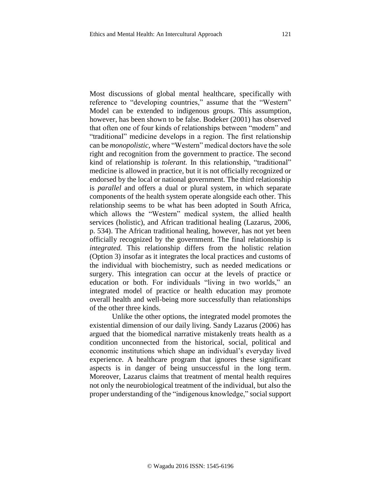Most discussions of global mental healthcare, specifically with reference to "developing countries," assume that the "Western" Model can be extended to indigenous groups. This assumption, however, has been shown to be false. Bodeker (2001) has observed that often one of four kinds of relationships between "modern" and "traditional" medicine develops in a region. The first relationship can be *monopolistic,* where "Western" medical doctors have the sole right and recognition from the government to practice. The second kind of relationship is *tolerant.* In this relationship, "traditional" medicine is allowed in practice, but it is not officially recognized or endorsed by the local or national government. The third relationship is *parallel* and offers a dual or plural system, in which separate components of the health system operate alongside each other. This relationship seems to be what has been adopted in South Africa, which allows the "Western" medical system, the allied health services (holistic), and African traditional healing (Lazarus, 2006, p. 534). The African traditional healing, however, has not yet been officially recognized by the government. The final relationship is *integrated.* This relationship differs from the holistic relation (Option 3) insofar as it integrates the local practices and customs of the individual with biochemistry, such as needed medications or surgery. This integration can occur at the levels of practice or education or both. For individuals "living in two worlds," an integrated model of practice or health education may promote overall health and well-being more successfully than relationships of the other three kinds.

Unlike the other options, the integrated model promotes the existential dimension of our daily living. Sandy Lazarus (2006) has argued that the biomedical narrative mistakenly treats health as a condition unconnected from the historical, social, political and economic institutions which shape an individual's everyday lived experience. A healthcare program that ignores these significant aspects is in danger of being unsuccessful in the long term. Moreover, Lazarus claims that treatment of mental health requires not only the neurobiological treatment of the individual, but also the proper understanding of the "indigenous knowledge," social support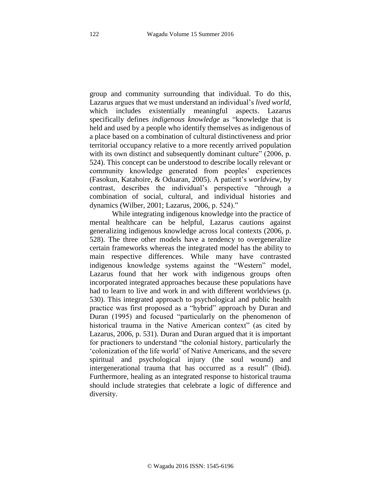group and community surrounding that individual. To do this, Lazarus argues that we must understand an individual's *lived world,*  which includes existentially meaningful aspects. Lazarus specifically defines *indigenous knowledge* as "knowledge that is held and used by a people who identify themselves as indigenous of a place based on a combination of cultural distinctiveness and prior territorial occupancy relative to a more recently arrived population with its own distinct and subsequently dominant culture" (2006, p. 524). This concept can be understood to describe locally relevant or community knowledge generated from peoples' experiences (Fasokun, Katahoire, & Oduaran, 2005). A patient's *worldview*, by contrast, describes the individual's perspective "through a combination of social, cultural, and individual histories and dynamics (Wilber, 2001; Lazarus, 2006, p. 524)."

While integrating indigenous knowledge into the practice of mental healthcare can be helpful, Lazarus cautions against generalizing indigenous knowledge across local contexts (2006, p. 528). The three other models have a tendency to overgeneralize certain frameworks whereas the integrated model has the ability to main respective differences. While many have contrasted indigenous knowledge systems against the "Western" model, Lazarus found that her work with indigenous groups often incorporated integrated approaches because these populations have had to learn to live and work in and with different worldviews (p. 530). This integrated approach to psychological and public health practice was first proposed as a "hybrid" approach by Duran and Duran (1995) and focused "particularly on the phenomenon of historical trauma in the Native American context" (as cited by Lazarus, 2006, p. 531). Duran and Duran argued that it is important for practioners to understand "the colonial history, particularly the 'colonization of the life world' of Native Americans, and the severe spiritual and psychological injury (the soul wound) and intergenerational trauma that has occurred as a result" (Ibid). Furthermore, healing as an integrated response to historical trauma should include strategies that celebrate a logic of difference and diversity.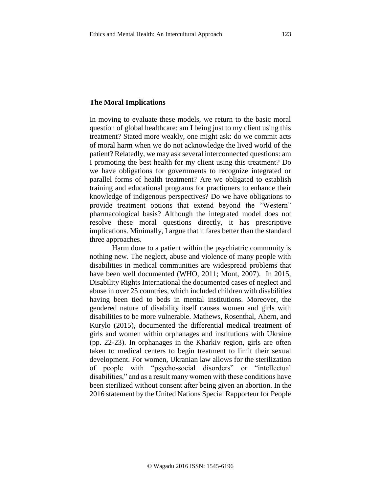#### **The Moral Implications**

In moving to evaluate these models, we return to the basic moral question of global healthcare: am I being just to my client using this treatment? Stated more weakly, one might ask: do we commit acts of moral harm when we do not acknowledge the lived world of the patient? Relatedly, we may ask several interconnected questions: am I promoting the best health for my client using this treatment? Do we have obligations for governments to recognize integrated or parallel forms of health treatment? Are we obligated to establish training and educational programs for practioners to enhance their knowledge of indigenous perspectives? Do we have obligations to provide treatment options that extend beyond the "Western" pharmacological basis? Although the integrated model does not resolve these moral questions directly, it has prescriptive implications. Minimally, I argue that it fares better than the standard three approaches.

Harm done to a patient within the psychiatric community is nothing new. The neglect, abuse and violence of many people with disabilities in medical communities are widespread problems that have been well documented (WHO, 2011; Mont, 2007). In 2015, Disability Rights International the documented cases of neglect and abuse in over 25 countries, which included children with disabilities having been tied to beds in mental institutions. Moreover, the gendered nature of disability itself causes women and girls with disabilities to be more vulnerable. Mathews, Rosenthal, Ahern, and Kurylo (2015), documented the differential medical treatment of girls and women within orphanages and institutions with Ukraine (pp. 22-23). In orphanages in the Kharkiv region, girls are often taken to medical centers to begin treatment to limit their sexual development. For women, Ukranian law allows for the sterilization of people with "psycho-social disorders" or "intellectual disabilities," and as a result many women with these conditions have been sterilized without consent after being given an abortion. In the 2016 statement by the United Nations Special Rapporteur for People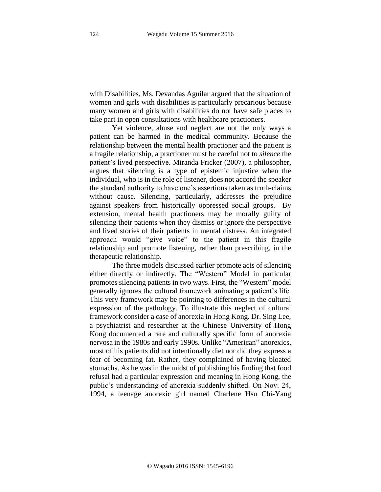with Disabilities, Ms. Devandas Aguilar argued that the situation of women and girls with disabilities is particularly precarious because many women and girls with disabilities do not have safe places to take part in open consultations with healthcare practioners.

Yet violence, abuse and neglect are not the only ways a patient can be harmed in the medical community. Because the relationship between the mental health practioner and the patient is a fragile relationship, a practioner must be careful not to *silence* the patient's lived perspective. Miranda Fricker (2007), a philosopher, argues that silencing is a type of epistemic injustice when the individual, who is in the role of listener, does not accord the speaker the standard authority to have one's assertions taken as truth-claims without cause. Silencing, particularly, addresses the prejudice against speakers from historically oppressed social groups. By extension, mental health practioners may be morally guilty of silencing their patients when they dismiss or ignore the perspective and lived stories of their patients in mental distress. An integrated approach would "give voice" to the patient in this fragile relationship and promote listening, rather than prescribing, in the therapeutic relationship.

The three models discussed earlier promote acts of silencing either directly or indirectly. The "Western" Model in particular promotes silencing patients in two ways. First, the "Western" model generally ignores the cultural framework animating a patient's life. This very framework may be pointing to differences in the cultural expression of the pathology. To illustrate this neglect of cultural framework consider a case of anorexia in Hong Kong. Dr. Sing Lee, a psychiatrist and researcher at the Chinese University of Hong Kong documented a rare and culturally specific form of anorexia nervosa in the 1980s and early 1990s. Unlike "American" anorexics, most of his patients did not intentionally diet nor did they express a fear of becoming fat. Rather, they complained of having bloated stomachs. As he was in the midst of publishing his finding that food refusal had a particular expression and meaning in Hong Kong, the public's understanding of anorexia suddenly shifted. On Nov. 24, 1994, a teenage anorexic girl named Charlene Hsu Chi-Yang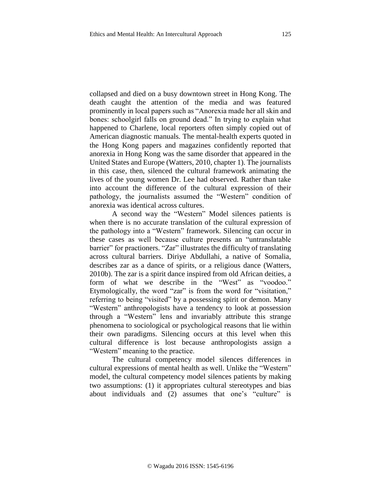collapsed and died on a busy downtown street in Hong Kong. The death caught the attention of the media and was featured prominently in local papers such as "Anorexia made her all skin and bones: schoolgirl falls on ground dead." In trying to explain what happened to Charlene, local reporters often simply copied out of American diagnostic manuals. The mental-health experts quoted in the Hong Kong papers and magazines confidently reported that anorexia in Hong Kong was the same disorder that appeared in the United States and Europe (Watters, 2010, chapter 1). The journalists in this case, then, silenced the cultural framework animating the lives of the young women Dr. Lee had observed. Rather than take into account the difference of the cultural expression of their pathology, the journalists assumed the "Western" condition of anorexia was identical across cultures.

A second way the "Western" Model silences patients is when there is no accurate translation of the cultural expression of the pathology into a "Western" framework. Silencing can occur in these cases as well because culture presents an "untranslatable barrier" for practioners. "Zar" illustrates the difficulty of translating across cultural barriers. Diriye Abdullahi, a native of Somalia, describes zar as a dance of spirits, or a religious dance (Watters, 2010b). The zar is a spirit dance inspired from old African deities, a form of what we describe in the "West" as "voodoo." Etymologically, the word "zar" is from the word for "visitation," referring to being "visited" by a possessing spirit or demon. Many "Western" anthropologists have a tendency to look at possession through a "Western" lens and invariably attribute this strange phenomena to sociological or psychological reasons that lie within their own paradigms. Silencing occurs at this level when this cultural difference is lost because anthropologists assign a "Western" meaning to the practice.

The cultural competency model silences differences in cultural expressions of mental health as well. Unlike the "Western" model, the cultural competency model silences patients by making two assumptions: (1) it appropriates cultural stereotypes and bias about individuals and (2) assumes that one's "culture" is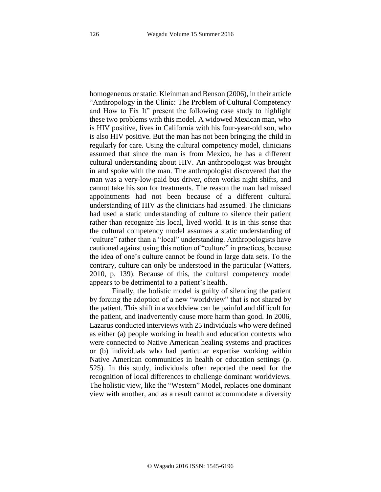homogeneous or static. Kleinman and Benson (2006), in their article "Anthropology in the Clinic: The Problem of Cultural Competency and How to Fix It" present the following case study to highlight these two problems with this model. A widowed Mexican man, who is HIV positive, lives in California with his four-year-old son, who is also HIV positive. But the man has not been bringing the child in regularly for care. Using the cultural competency model, clinicians assumed that since the man is from Mexico, he has a different cultural understanding about HIV. An anthropologist was brought in and spoke with the man. The anthropologist discovered that the man was a very-low-paid bus driver, often works night shifts, and cannot take his son for treatments. The reason the man had missed appointments had not been because of a different cultural understanding of HIV as the clinicians had assumed. The clinicians had used a static understanding of culture to silence their patient rather than recognize his local, lived world. It is in this sense that the cultural competency model assumes a static understanding of "culture" rather than a "local" understanding. Anthropologists have cautioned against using this notion of "culture" in practices, because the idea of one's culture cannot be found in large data sets. To the contrary, culture can only be understood in the particular (Watters, 2010, p. 139). Because of this, the cultural competency model appears to be detrimental to a patient's health.

Finally, the holistic model is guilty of silencing the patient by forcing the adoption of a new "worldview" that is not shared by the patient. This shift in a worldview can be painful and difficult for the patient, and inadvertently cause more harm than good. In 2006, Lazarus conducted interviews with 25 individuals who were defined as either (a) people working in health and education contexts who were connected to Native American healing systems and practices or (b) individuals who had particular expertise working within Native American communities in health or education settings (p. 525). In this study, individuals often reported the need for the recognition of local differences to challenge dominant worldviews. The holistic view, like the "Western" Model, replaces one dominant view with another, and as a result cannot accommodate a diversity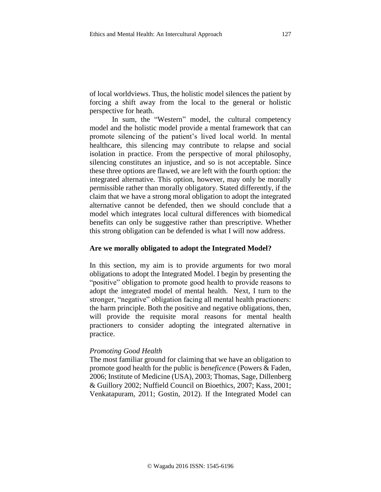of local worldviews. Thus, the holistic model silences the patient by forcing a shift away from the local to the general or holistic perspective for heath.

In sum, the "Western" model, the cultural competency model and the holistic model provide a mental framework that can promote silencing of the patient's lived local world. In mental healthcare, this silencing may contribute to relapse and social isolation in practice. From the perspective of moral philosophy, silencing constitutes an injustice, and so is not acceptable. Since these three options are flawed, we are left with the fourth option: the integrated alternative. This option, however, may only be morally permissible rather than morally obligatory. Stated differently, if the claim that we have a strong moral obligation to adopt the integrated alternative cannot be defended, then we should conclude that a model which integrates local cultural differences with biomedical benefits can only be suggestive rather than prescriptive. Whether this strong obligation can be defended is what I will now address.

#### **Are we morally obligated to adopt the Integrated Model?**

In this section, my aim is to provide arguments for two moral obligations to adopt the Integrated Model. I begin by presenting the "positive" obligation to promote good health to provide reasons to adopt the integrated model of mental health. Next, I turn to the stronger, "negative" obligation facing all mental health practioners: the harm principle. Both the positive and negative obligations, then, will provide the requisite moral reasons for mental health practioners to consider adopting the integrated alternative in practice.

#### *Promoting Good Health*

The most familiar ground for claiming that we have an obligation to promote good health for the public is *beneficenc*e (Powers & Faden, 2006; Institute of Medicine (USA), 2003; Thomas, Sage, Dillenberg & Guillory 2002; Nuffield Council on Bioethics, 2007; Kass, 2001; Venkatapuram, 2011; Gostin, 2012). If the Integrated Model can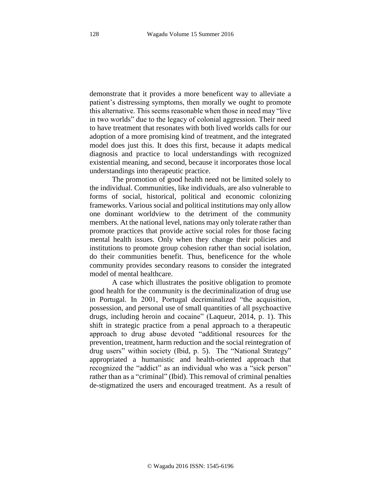demonstrate that it provides a more beneficent way to alleviate a patient's distressing symptoms, then morally we ought to promote this alternative. This seems reasonable when those in need may "live in two worlds" due to the legacy of colonial aggression. Their need to have treatment that resonates with both lived worlds calls for our adoption of a more promising kind of treatment, and the integrated model does just this. It does this first, because it adapts medical diagnosis and practice to local understandings with recognized existential meaning, and second, because it incorporates those local understandings into therapeutic practice.

The promotion of good health need not be limited solely to the individual. Communities, like individuals, are also vulnerable to forms of social, historical, political and economic colonizing frameworks. Various social and political institutions may only allow one dominant worldview to the detriment of the community members. At the national level, nations may only tolerate rather than promote practices that provide active social roles for those facing mental health issues. Only when they change their policies and institutions to promote group cohesion rather than social isolation, do their communities benefit. Thus, beneficence for the whole community provides secondary reasons to consider the integrated model of mental healthcare.

A case which illustrates the positive obligation to promote good health for the community is the decriminalization of drug use in Portugal. In 2001, Portugal decriminalized "the acquisition, possession, and personal use of small quantities of all psychoactive drugs, including heroin and cocaine" (Laqueur, 2014, p. 1). This shift in strategic practice from a penal approach to a therapeutic approach to drug abuse devoted "additional resources for the prevention, treatment, harm reduction and the social reintegration of drug users" within society (Ibid, p. 5). The "National Strategy" appropriated a humanistic and health-oriented approach that recognized the "addict" as an individual who was a "sick person" rather than as a "criminal" (Ibid). This removal of criminal penalties de-stigmatized the users and encouraged treatment. As a result of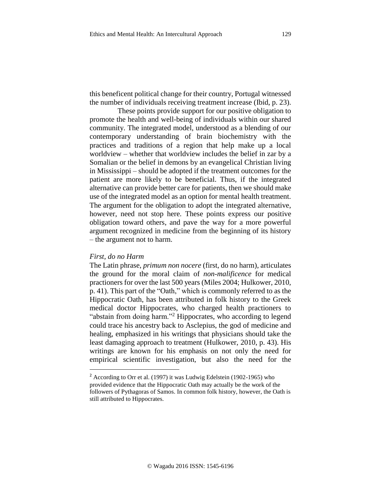this beneficent political change for their country, Portugal witnessed the number of individuals receiving treatment increase (Ibid, p. 23).

These points provide support for our positive obligation to promote the health and well-being of individuals within our shared community. The integrated model, understood as a blending of our contemporary understanding of brain biochemistry with the practices and traditions of a region that help make up a local worldview – whether that worldview includes the belief in zar by a Somalian or the belief in demons by an evangelical Christian living in Mississippi – should be adopted if the treatment outcomes for the patient are more likely to be beneficial. Thus, if the integrated alternative can provide better care for patients, then we should make use of the integrated model as an option for mental health treatment. The argument for the obligation to adopt the integrated alternative, however, need not stop here. These points express our positive obligation toward others, and pave the way for a more powerful argument recognized in medicine from the beginning of its history – the argument not to harm.

### *First, do no Harm*

 $\overline{\phantom{a}}$ 

The Latin phrase, *primum non nocere* (first, do no harm), articulates the ground for the moral claim of *non-malificence* for medical practioners for over the last 500 years (Miles 2004; Hulkower, 2010, p. 41). This part of the "Oath," which is commonly referred to as the Hippocratic Oath, has been attributed in folk history to the Greek medical doctor Hippocrates, who charged health practioners to "abstain from doing harm."<sup>2</sup> Hippocrates, who according to legend could trace his ancestry back to Asclepius, the god of medicine and healing, emphasized in his writings that physicians should take the least damaging approach to treatment (Hulkower, 2010, p. 43). His writings are known for his emphasis on not only the need for empirical scientific investigation, but also the need for the

<sup>2</sup> According to Orr et al. (1997) it was Ludwig Edelstein (1902-1965) who provided evidence that the Hippocratic Oath may actually be the work of the followers of Pythagoras of Samos. In common folk history, however, the Oath is still attributed to Hippocrates.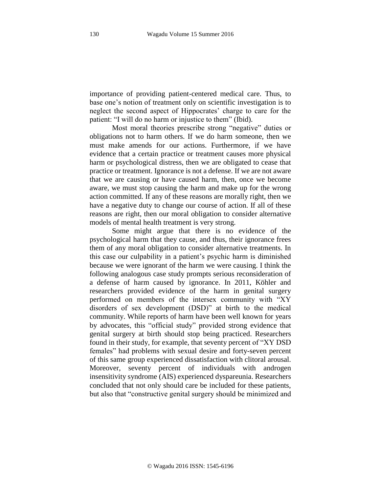importance of providing patient-centered medical care. Thus, to base one's notion of treatment only on scientific investigation is to neglect the second aspect of Hippocrates' charge to care for the patient: "I will do no harm or injustice to them" (Ibid).

Most moral theories prescribe strong "negative" duties or obligations not to harm others. If we do harm someone, then we must make amends for our actions. Furthermore, if we have evidence that a certain practice or treatment causes more physical harm or psychological distress, then we are obligated to cease that practice or treatment. Ignorance is not a defense. If we are not aware that we are causing or have caused harm, then, once we become aware, we must stop causing the harm and make up for the wrong action committed. If any of these reasons are morally right, then we have a negative duty to change our course of action. If all of these reasons are right, then our moral obligation to consider alternative models of mental health treatment is very strong.

Some might argue that there is no evidence of the psychological harm that they cause, and thus, their ignorance frees them of any moral obligation to consider alternative treatments. In this case our culpability in a patient's psychic harm is diminished because we were ignorant of the harm we were causing. I think the following analogous case study prompts serious reconsideration of a defense of harm caused by ignorance. In 2011, Köhler and researchers provided evidence of the harm in genital surgery performed on members of the intersex community with "XY disorders of sex development (DSD)" at birth to the medical community. While reports of harm have been well known for years by advocates, this "official study" provided strong evidence that genital surgery at birth should stop being practiced. Researchers found in their study, for example, that seventy percent of "XY DSD females" had problems with sexual desire and forty-seven percent of this same group experienced dissatisfaction with clitoral arousal. Moreover, seventy percent of individuals with androgen insensitivity syndrome (AIS) experienced dyspareunia. Researchers concluded that not only should care be included for these patients, but also that "constructive genital surgery should be minimized and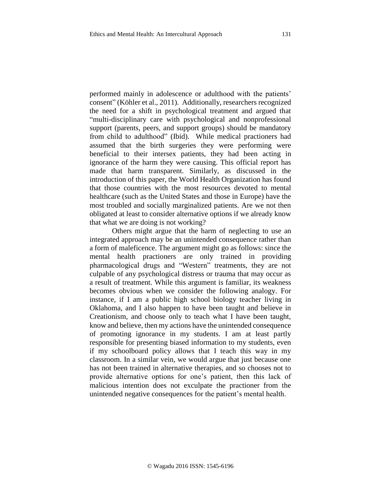performed mainly in adolescence or adulthood with the patients' consent" (Köhler et al., 2011). Additionally, researchers recognized the need for a shift in psychological treatment and argued that "multi-disciplinary care with psychological and nonprofessional support (parents, peers, and support groups) should be mandatory from child to adulthood" (Ibid). While medical practioners had assumed that the birth surgeries they were performing were beneficial to their intersex patients, they had been acting in ignorance of the harm they were causing. This official report has made that harm transparent. Similarly, as discussed in the introduction of this paper, the World Health Organization has found that those countries with the most resources devoted to mental healthcare (such as the United States and those in Europe) have the most troubled and socially marginalized patients. Are we not then obligated at least to consider alternative options if we already know that what we are doing is not working?

Others might argue that the harm of neglecting to use an integrated approach may be an unintended consequence rather than a form of maleficence. The argument might go as follows: since the mental health practioners are only trained in providing pharmacological drugs and "Western" treatments, they are not culpable of any psychological distress or trauma that may occur as a result of treatment. While this argument is familiar, its weakness becomes obvious when we consider the following analogy. For instance, if I am a public high school biology teacher living in Oklahoma, and I also happen to have been taught and believe in Creationism, and choose only to teach what I have been taught, know and believe, then my actions have the unintended consequence of promoting ignorance in my students. I am at least partly responsible for presenting biased information to my students, even if my schoolboard policy allows that I teach this way in my classroom. In a similar vein, we would argue that just because one has not been trained in alternative therapies, and so chooses not to provide alternative options for one's patient, then this lack of malicious intention does not exculpate the practioner from the unintended negative consequences for the patient's mental health.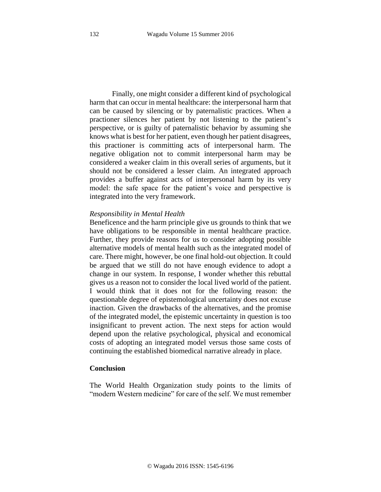Finally, one might consider a different kind of psychological harm that can occur in mental healthcare: the interpersonal harm that can be caused by silencing or by paternalistic practices. When a practioner silences her patient by not listening to the patient's perspective, or is guilty of paternalistic behavior by assuming she knows what is best for her patient, even though her patient disagrees, this practioner is committing acts of interpersonal harm. The negative obligation not to commit interpersonal harm may be considered a weaker claim in this overall series of arguments, but it should not be considered a lesser claim. An integrated approach provides a buffer against acts of interpersonal harm by its very model: the safe space for the patient's voice and perspective is integrated into the very framework.

#### *Responsibility in Mental Health*

Beneficence and the harm principle give us grounds to think that we have obligations to be responsible in mental healthcare practice. Further, they provide reasons for us to consider adopting possible alternative models of mental health such as the integrated model of care. There might, however, be one final hold-out objection. It could be argued that we still do not have enough evidence to adopt a change in our system. In response, I wonder whether this rebuttal gives us a reason not to consider the local lived world of the patient. I would think that it does not for the following reason: the questionable degree of epistemological uncertainty does not excuse inaction. Given the drawbacks of the alternatives, and the promise of the integrated model, the epistemic uncertainty in question is too insignificant to prevent action. The next steps for action would depend upon the relative psychological, physical and economical costs of adopting an integrated model versus those same costs of continuing the established biomedical narrative already in place.

#### **Conclusion**

The World Health Organization study points to the limits of "modern Western medicine" for care of the self. We must remember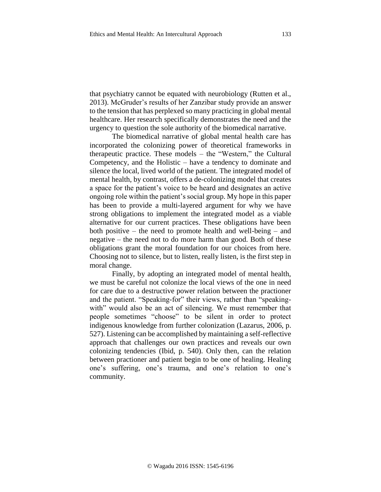that psychiatry cannot be equated with neurobiology (Rutten et al., 2013). McGruder's results of her Zanzibar study provide an answer to the tension that has perplexed so many practicing in global mental healthcare. Her research specifically demonstrates the need and the urgency to question the sole authority of the biomedical narrative.

The biomedical narrative of global mental health care has incorporated the colonizing power of theoretical frameworks in therapeutic practice. These models – the "Western," the Cultural Competency, and the Holistic – have a tendency to dominate and silence the local, lived world of the patient. The integrated model of mental health, by contrast, offers a de-colonizing model that creates a space for the patient's voice to be heard and designates an active ongoing role within the patient's social group. My hope in this paper has been to provide a multi-layered argument for why we have strong obligations to implement the integrated model as a viable alternative for our current practices. These obligations have been both positive – the need to promote health and well-being – and negative – the need not to do more harm than good. Both of these obligations grant the moral foundation for our choices from here. Choosing not to silence, but to listen, really listen, is the first step in moral change.

Finally, by adopting an integrated model of mental health, we must be careful not colonize the local views of the one in need for care due to a destructive power relation between the practioner and the patient. "Speaking-for" their views, rather than "speakingwith" would also be an act of silencing. We must remember that people sometimes "choose" to be silent in order to protect indigenous knowledge from further colonization (Lazarus, 2006, p. 527). Listening can be accomplished by maintaining a self-reflective approach that challenges our own practices and reveals our own colonizing tendencies (Ibid, p. 540). Only then, can the relation between practioner and patient begin to be one of healing. Healing one's suffering, one's trauma, and one's relation to one's community.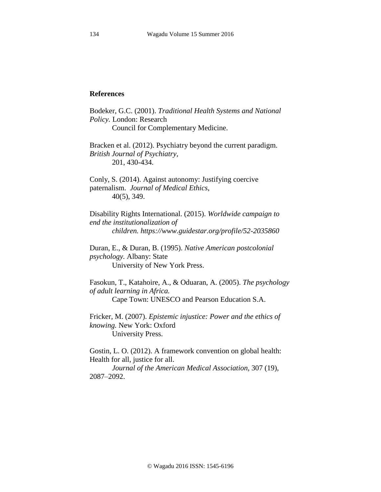### **References**

Bodeker, G.C. (2001). *Traditional Health Systems and National Policy.* London: Research Council for Complementary Medicine. Bracken et al. (2012). Psychiatry beyond the current paradigm. *British Journal of Psychiatry,*  201, 430-434. Conly, S. (2014). Against autonomy: Justifying coercive paternalism. *Journal of Medical Ethics*, 40(5), 349. Disability Rights International. (2015). *Worldwide campaign to end the institutionalization of children. https://www.guidestar.org/profile/52-2035860* Duran, E., & Duran, B. (1995). *Native American postcolonial psychology.* Albany: State University of New York Press. Fasokun, T., Katahoire, A., & Oduaran, A. (2005). *The psychology of adult learning in Africa.* Cape Town: UNESCO and Pearson Education S.A. Fricker, M. (2007). *Epistemic injustice: Power and the ethics of knowing.* New York: Oxford

University Press.

Gostin, L. O. (2012). A framework convention on global health: Health for all, justice for all. *Journal of the American Medical Association*, 307 (19),

2087–2092.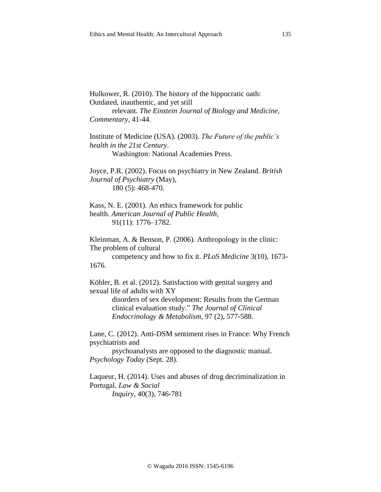Outdated, inauthentic, and yet still relevant. *The Einstein Journal of Biology and Medicine, Commentary,* 41-44.

Institute of Medicine (USA). (2003). *The Future of the public's health in the 21st Century*. Washington: National Academies Press.

Joyce, P.R. (2002). Focus on psychiatry in New Zealand. *British Journal of Psychiatry* (May), 180 (5): 468-470.

Kass, N. E. (2001). An ethics framework for public health. *American Journal of Public Health*, 91(11): 1776–1782.

Kleinman, A. & Benson, P. (2006). Anthropology in the clinic: The problem of cultural competency and how to fix it. *PLoS Medicine* 3(10), 1673-

1676.

Köhler, B. et al. (2012). Satisfaction with genital surgery and sexual life of adults with XY

> disorders of sex development: Results from the German clinical evaluation study." *The Journal of Clinical Endocrinology & Metabolism*, 97 (2), 577-588.

Lane, C. (2012). Anti-DSM sentiment rises in France: Why French psychiatrists and

psychoanalysts are opposed to the diagnostic manual. *Psychology Today* (Sept. 28)*.* 

Laqueur, H. (2014). Uses and abuses of drug decriminalization in Portugal. *Law & Social Inquiry,* 40(3), 746-781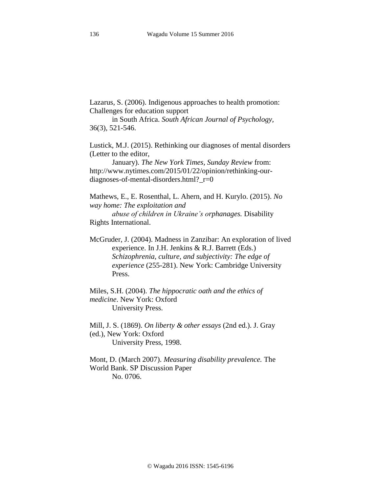Lazarus, S. (2006). Indigenous approaches to health promotion: Challenges for education support

in South Africa. *South African Journal of Psychology,*  36(3)*,* 521-546.

Lustick, M.J. (2015). Rethinking our diagnoses of mental disorders (Letter to the editor,

January). *The New York Times, Sunday Review* from: http://www.nytimes.com/2015/01/22/opinion/rethinking-ourdiagnoses-of-mental-disorders.html?\_r=0

Mathews, E., E. Rosenthal, L. Ahern, and H. Kurylo. (2015). *No way home: The exploitation and* 

*abuse of children in Ukraine's orphanages.* Disability Rights International.

McGruder, J. (2004). Madness in Zanzibar: An exploration of lived experience. In J.H. Jenkins & R.J. Barrett (Eds.) *Schizophrenia, culture, and subjectivity: The edge of experience* (255-281). New York: Cambridge University Press.

Miles, S.H. (2004). *The hippocratic oath and the ethics of medicine*. New York: Oxford University Press.

Mill, J. S. (1869). *On liberty & other essays* (2nd ed.). J. Gray (ed.), New York: Oxford University Press, 1998.

Mont, D. (March 2007). *Measuring disability prevalence.* The World Bank. SP Discussion Paper No. 0706.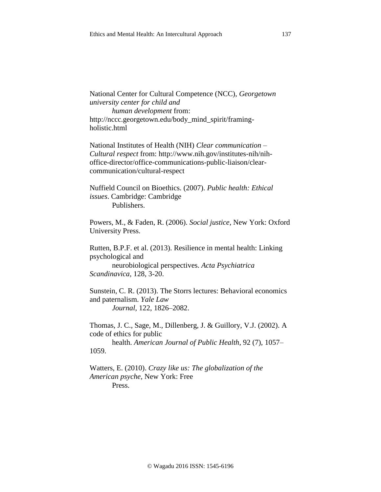National Center for Cultural Competence (NCC), *Georgetown university center for child and human development* from: http://nccc.georgetown.edu/body\_mind\_spirit/framingholistic.html

National Institutes of Health (NIH) *Clear communication – Cultural respect* from: http://www.nih.gov/institutes-nih/nihoffice-director/office-communications-public-liaison/clearcommunication/cultural-respect

Nuffield Council on Bioethics. (2007). *Public health: Ethical issues*. Cambridge: Cambridge Publishers.

Powers, M., & Faden, R. (2006). *Social justice*, New York: Oxford University Press.

Rutten, B.P.F. et al. (2013). Resilience in mental health: Linking psychological and neurobiological perspectives. *Acta Psychiatrica Scandinavica,* 128, 3-20.

Sunstein, C. R. (2013). The Storrs lectures: Behavioral economics and paternalism. *Yale Law Journal*, 122, 1826–2082.

Thomas, J. C., Sage, M., Dillenberg, J. & Guillory, V.J. (2002). A code of ethics for public

health. *American Journal of Public Health*, 92 (7), 1057– 1059.

Watters, E. (2010). *Crazy like us: The globalization of the American psyche,* New York: Free Press.